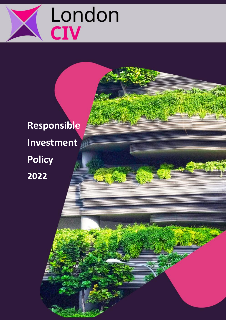

**Responsible Investment Policy 2022**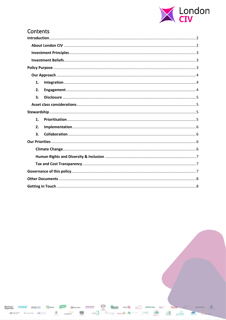

 $\mathcal{L}_{\rm{L}}$  and

 $\bigcirc$ 

## Contents

| 1. |  |  |  |
|----|--|--|--|
| 2. |  |  |  |
| 3. |  |  |  |
|    |  |  |  |
|    |  |  |  |
| 1. |  |  |  |
| 2. |  |  |  |
| 3. |  |  |  |
|    |  |  |  |
|    |  |  |  |
|    |  |  |  |
|    |  |  |  |
|    |  |  |  |
|    |  |  |  |
|    |  |  |  |

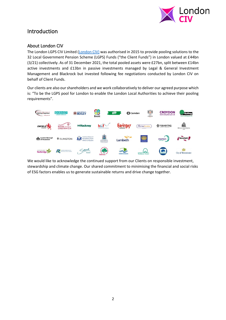

# <span id="page-2-0"></span>Introduction

### <span id="page-2-1"></span>About London CIV

The London LGPS CIV Limited [\(London CIV\)](https://londonciv.org.uk/) was authorised in 2015 to provide pooling solutions to the 32 Local Government Pension Scheme (LGPS) Funds ("the Client Funds") in London valued at £44bn (3/21) collectively. As of 31 December 2021, the total pooled assets were £27bn, split between £14bn active investments and £13bn in passive investments managed by Legal & General Investment Management and Blackrock but invested following fee negotiations conducted by London CIV on behalf of Client Funds.

Our clients are also our shareholders and we work collaboratively to deliver our agreed purpose which is: "To be the LGPS pool for London to enable the London Local Authorities to achieve their pooling requirements".



<span id="page-2-2"></span>We would like to acknowledge the continued support from our Clients on responsible investment, stewardship and climate change. Our shared commitment to minimising the financial and social risks of ESG factors enables us to generate sustainable returns and drive change together.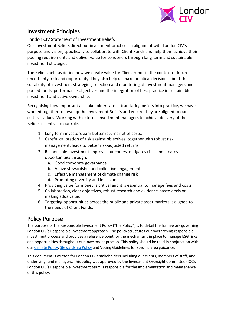

# Investment Principles

### <span id="page-3-0"></span>London CIV Statement of Investment Beliefs

Our Investment Beliefs direct our investment practices in alignment with London CIV's purpose and vision, specifically to collaborate with Client Funds and help them achieve their pooling requirements and deliver value for Londoners through long-term and sustainable investment strategies.

The Beliefs help us define how we create value for Client Funds in the context of future uncertainty, risk and opportunity. They also help us make practical decisions about the suitability of investment strategies, selection and monitoring of investment managers and pooled funds, performance objectives and the integration of best practice in sustainable investment and active ownership.

Recognising how important all stakeholders are in translating beliefs into practice, we have worked together to develop the Investment Beliefs and ensure they are aligned to our cultural values. Working with external investment managers to achieve delivery of these Beliefs is central to our role.

- <span id="page-3-1"></span>1. Long term investors earn better returns net of costs.
- 2. Careful calibration of risk against objectives, together with robust risk management, leads to better risk-adjusted returns.
- 3. Responsible Investment improves outcomes, mitigates risks and creates opportunities through:
	- a. Good corporate governance
	- b. Active stewardship and collective engagement
	- c. Effective management of climate change risk
	- d. Promoting diversity and inclusion
- 4. Providing value for money is critical and it is essential to manage fees and costs.
- 5. Collaboration, clear objectives, robust research and evidence-based decisionmaking adds value.
- 6. Targeting opportunities across the public and private asset markets is aligned to the needs of Client Funds.

# Policy Purpose

The purpose of the Responsible Investment Policy ("the Policy") is to detail the framework governing London CIV's Responsible Investment approach. The policy structures our overarching responsible investment process and provides a reference point for the mechanisms in place to manage ESG risks and opportunities throughout our investment process. This policy should be read in conjunction with our [Climate Policy,](https://londonciv.org.uk/block/download/3173/file) [Stewardship Policy](https://londonciv.org.uk/block/download/3560/file) and Voting Guidelines for specific area guidance.

<span id="page-3-2"></span>This document is written for London CIV's stakeholders including our clients, members of staff, and underlying fund managers. This policy was approved by the Investment Oversight Committee (IOC). London CIV's Responsible Investment team is responsible for the implementation and maintenance of this policy.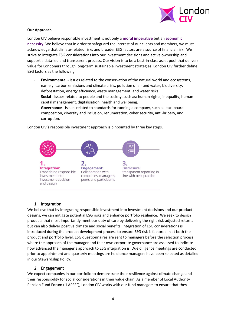

#### **Our Approach**

London CIV believe responsible investment is not only a **moral imperative** but an **economic necessity**. We believe that in order to safeguard the interest of our clients and members, we must acknowledge that climate-related risks and broader ESG factors are a source of financial risk. We strive to integrate ESG considerations into our investment decisions and active ownership and support a data-led and transparent process. Our vision is to be a best-in-class asset pool that delivers value for Londoners through long-term sustainable investment strategies. London CIV further define ESG factors as the following:

- **Environmental -** Issues related to the conservation of the natural world and ecosystems, namely: carbon emissions and climate crisis, pollution of air and water, biodiversity, deforestation, energy efficiency, waste management, and water risks.
- **Social -** Issues related to people and the society, such as: human rights, inequality, human capital management, digitalisation, health and wellbeing.
- Governance Issues related to standards for running a company, such as: tax, board composition, diversity and inclusion, renumeration, cyber security, anti-bribery, and corruption.

London CIV's responsible investment approach is pinpointed by three key steps.



#### 1. Integration

<span id="page-4-0"></span>We believe that by integrating responsible investment into investment decisions and our product designs, we can mitigate potential ESG risks and enhance portfolio resilience. We seek to design products that most importantly meet our duty of care by delivering the right risk-adjusted returns but can also deliver positive climate and social benefits. Integration of ESG considerations is introduced during the product development process to ensure ESG risk is factored in at both the product and portfolio level. ESG questionnaires are sent to managers before the selection process where the approach of the manager and their own corporate governance are assessed to indicate how advanced the manager's approach to ESG integration is. Due diligence meetings are conducted prior to appointment and quarterly meetings are held once managers have been selected as detailed in our Stewardship Policy.

#### 2. Engagement

<span id="page-4-1"></span>We expect companies in our portfolio to demonstrate their resilience against climate change and their responsibility for social considerations in their value chain. As a member of Local Authority Pension Fund Forum ("LAPFF"), London CIV works with our fund managers to ensure that they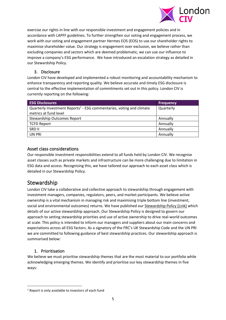

exercise our rights in line with our responsible investment and engagement policies and in accordance with LAPFF guidelines. To further strengthen our voting and engagement process, we work with our voting and engagement partner Hermes EOS (EOS) to use our shareholder rights to maximise shareholder value. Our strategy is engagement over exclusion, we believe rather than excluding companies and sectors which are deemed problematic, we can use our influence to improve a company's ESG performance. We have introduced an escalation strategy as detailed in our Stewardship Policy.

#### 3. Disclosure

<span id="page-5-0"></span>London CIV have developed and implemented a robust monitoring and accountability mechanism to enhance transparency and reporting quality. We believe accurate and timely ESG disclosure is central to the effective implementation of commitments set out in this policy. London CIV is currently reporting on the following:

| <b>ESG Disclosures</b>                                                                                    | <b>Frequency</b> |
|-----------------------------------------------------------------------------------------------------------|------------------|
| Quarterly Investment Reports <sup>1</sup> - ESG commentaries, voting and climate<br>metrics at fund level | Quarterly        |
| <b>Stewardship Outcomes Report</b>                                                                        | Annually         |
| <b>TCFD Report</b>                                                                                        | Annually         |
| SRD II                                                                                                    | Annually         |
| <b>UN PRI</b>                                                                                             | Annually         |

#### <span id="page-5-1"></span>Asset class considerations

Our responsible investment responsibilities extend to all funds held by London CIV. We recognise asset classes such as private markets and infrastructure can be more challenging due to limitation in ESG data and access. Recognising this, we have tailored our approach to each asset class which is detailed in our Stewardship Policy.

## <span id="page-5-2"></span>Stewardship

London CIV take a collaborative and collective approach to stewardship through engagement with investment managers, companies, regulators, peers, and market participants. We believe active ownership is a vital mechanism in managing risk and maximising triple bottom line (investment, social and environmental outcomes) returns. We have published our Stewardship Policy [Link] which details of our active stewardship approach. Our Stewardship Policy is designed to govern our approach to setting stewardship priorities and use of active ownership to drive real-world outcomes at scale. This policy is intended to inform our managers and suppliers about our main concerns and expectations across all ESG factors. As a signatory of the FRC's UK Stewardship Code and the UN PRI we are committed to following guidance of best stewardship practices. Our stewardship approach is summarised below:

#### 1. Prioritisation

<span id="page-5-3"></span>We believe we must prioritise stewardship themes that are the most material to our portfolio while acknowledging emerging themes. We identify and prioritise our key stewardship themes in five ways:

 $1$  Report is only available to investors of each fund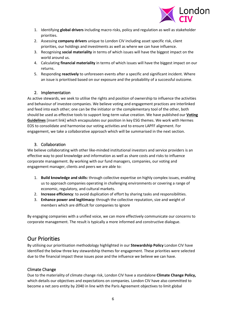

- 1. Identifying **global drivers** including macro risks, policy and regulation as well as stakeholder priorities.
- 2. Assessing **company drivers** unique to London CIV including asset specific risk, client priorities, our holdings and investments as well as where we can have influence.
- 3. Recognising **social materiality** in terms of which issues will have the biggest impact on the world around us.
- 4. Calculating **financial materiality** in terms of which issues will have the biggest impact on our returns.
- 5. Responding **reactively** to unforeseen events after a specific and significant incident. Where an issue is prioritised based on our exposure and the probability of a successful outcome.

#### 2. Implementation

<span id="page-6-0"></span>As active stewards, we seek to utilise the rights and position of ownership to influence the activities and behaviour of investee companies. We believe voting and engagement practices are interlinked and feed into each other; one can be the initiator or the complementary tool of the other, both should be used as effective tools to support long-term value creation. We have published our **Voting Guidelines** [insert link] which encapsulates our position in key ESG themes. We work with Hermes EOS to consolidate and harmonise our voting activities and to ensure LAPFF alignment. For engagement, we take a collaborative approach which will be summarised in the next section.

#### 3. Collaboration

<span id="page-6-1"></span>We believe collaborating with other like-minded institutional investors and service providers is an effective way to pool knowledge and information as well as share costs and risks to influence corporate management. By working with our fund managers, companies, our voting and engagement manager, clients and peers we are able to:

- 1. **Build knowledge and skills:** through collective expertise on highly complex issues, enabling us to approach companies operating in challenging environments or covering a range of economic, regulatory, and cultural markets.
- 2. **Increase efficiency**: to avoid duplication of effort by sharing tasks and responsibilities.
- 3. **Enhance power and legitimacy:** through the collective reputation, size and weight of members which are difficult for companies to ignore

By engaging companies with a unified voice, we can more effectively communicate our concerns to corporate management. The result is typically a more informed and constructive dialogue.

## <span id="page-6-2"></span>Our Priorities

By utilising our prioritisation methodology highlighted in our **Stewardship Policy** London CIV have identified the below three key stewardship themes for engagement. These priorities were selected due to the financial impact these issues pose and the influence we believe we can have.

#### <span id="page-6-3"></span>Climate Change

Due to the materiality of climate change risk, London CIV have a standalone **Climate Change Policy,**  which details our objectives and expectations on companies. London CIV have also committed to become a net zero entity by 2040 in line with the Paris Agreement objectives to limit global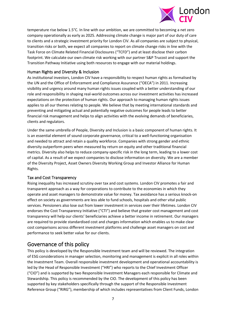

temperature rise below 1.5°C. In line with our ambition, we are committed to becoming a net zero company operationally as early as 2025. Addressing climate change is major part of our duty of care to clients and a strategic investment priority for London CIV. As all companies are subject to physical, transition risks or both, we expect all companies to report on climate change risks in line with the Task Force on Climate Related Financial Disclosures ("TCFD") and at least disclose their carbon footprint. We calculate our own climate risk working with our partner S&P Trucost and support the Transition Pathway Initiative using both resources to engage with our material holdings.

#### <span id="page-7-0"></span>Human Rights and Diversity & Inclusion

As institutional investors, London CIV have a responsibility to respect human rights as formalised by the UN and the Office of Enforcement and Compliance Assurance ("OECA") in 2011. Increasing visibility and urgency around many human rights issues coupled with a better understanding of our role and responsibility in shaping real-world outcomes across our investment activities has increased expectations on the protection of human rights. Our approach to managing human rights issues applies to all our themes relating to people. We believe that by meeting international standards and preventing and mitigating actual and potentially negative outcomes for people leads to better financial risk management and helps to align activities with the evolving demands of beneficiaries, clients and regulators.

Under the same umbrella of People, Diversity and Inclusion is a basic component of human rights. It is an essential element of sound corporate governance, critical to a well-functioning organisation and needed to attract and retain a quality workforce. Companies with strong gender and ethnic diversity outperform peers when measured by return on equity and other traditional financial metrics. Diversity also helps to reduce company-specific risk in the long term, leading to a lower cost of capital. As a result of we expect companies to disclose information on diversity. We are a member of the Diversity Project, Asset Owners Diversity Working Group and Investor Alliance for Human Rights.

#### <span id="page-7-1"></span>Tax and Cost Transparency

Rising inequality has increased scrutiny over tax and cost systems. London CIV promotes a fair and transparent approach as a way for corporations to contribute to the economies in which they operate and asset managers to demonstrate value for money. Tax avoidance has a serious knock-on effect on society as governments are less able to fund schools, hospitals and other vital public services. Pensioners also lose out from lower investment in services over their lifetimes. London CIV endorses the Cost Transparency Initiative ("CTI") and believe that greater cost management and cost transparency will help our clients' beneficiaries achieve a better income in retirement. Our managers are required to provide standardised cost and charges information which enables us to make clear cost comparisons across different investment platforms and challenge asset managers on cost and performance to seek better value for our clients.

## <span id="page-7-2"></span>Governance of this policy

This policy is developed by the Responsible Investment team and will be reviewed. The integration of ESG considerations in manager selection, monitoring and management is explicit in all roles within the Investment Team. Overall responsible investment development and operational accountability is led by the Head of Responsible Investment ("HRI") who reports to the Chief Investment Officer ("CIO") and is supported by two Responsible Investment Managers each responsible for Climate and Stewardship. This policy is recommended by the CIO. The development of this policy has been supported by key stakeholders specifically through the support of the Responsible Investment Reference Group ("RIRG"), membership of which includes representatives from Client Funds, London